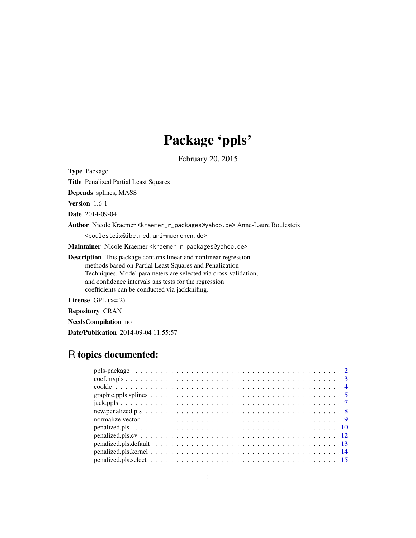# Package 'ppls'

February 20, 2015

Type Package Title Penalized Partial Least Squares Depends splines, MASS Version 1.6-1 Date 2014-09-04 Author Nicole Kraemer <kraemer\_r\_packages@yahoo.de> Anne-Laure Boulesteix <boulesteix@ibe.med.uni-muenchen.de> Maintainer Nicole Kraemer <kraemer\_r\_packages@yahoo.de> Description This package contains linear and nonlinear regression methods based on Partial Least Squares and Penalization Techniques. Model parameters are selected via cross-validation, and confidence intervals ans tests for the regression coefficients can be conducted via jackknifing. License GPL  $(>= 2)$ 

Repository CRAN

NeedsCompilation no Date/Publication 2014-09-04 11:55:57

# R topics documented: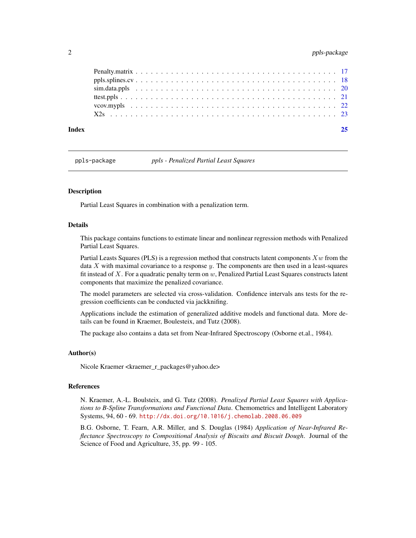# <span id="page-1-0"></span>2 ppls-package

| Index |  |
|-------|--|
|       |  |
|       |  |
|       |  |
|       |  |
|       |  |
|       |  |

ppls-package *ppls - Penalized Partial Least Squares*

### **Description**

Partial Least Squares in combination with a penalization term.

# Details

This package contains functions to estimate linear and nonlinear regression methods with Penalized Partial Least Squares.

Partial Leasts Squares (PLS) is a regression method that constructs latent components  $Xw$  from the data  $X$  with maximal covariance to a response  $y$ . The components are then used in a least-squares fit instead of X. For a quadratic penalty term on  $w$ , Penalized Partial Least Squares constructs latent components that maximize the penalized covariance.

The model parameters are selected via cross-validation. Confidence intervals ans tests for the regression coefficients can be conducted via jackknifing.

Applications include the estimation of generalized additive models and functional data. More details can be found in Kraemer, Boulesteix, and Tutz (2008).

The package also contains a data set from Near-Infrared Spectroscopy (Osborne et.al., 1984).

#### Author(s)

Nicole Kraemer <kraemer\_r\_packages@yahoo.de>

#### References

N. Kraemer, A.-L. Boulsteix, and G. Tutz (2008). *Penalized Partial Least Squares with Applications to B-Spline Transformations and Functional Data*. Chemometrics and Intelligent Laboratory Systems, 94, 60 - 69. <http://dx.doi.org/10.1016/j.chemolab.2008.06.009>

B.G. Osborne, T. Fearn, A.R. Miller, and S. Douglas (1984) *Application of Near-Infrared Reflectance Spectroscopy to Compositional Analysis of Biscuits and Biscuit Dough*. Journal of the Science of Food and Agriculture, 35, pp. 99 - 105.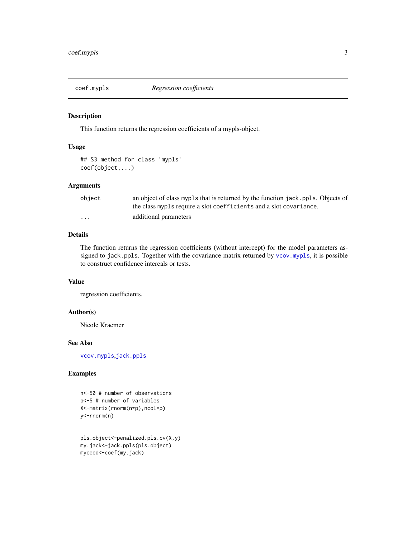<span id="page-2-1"></span><span id="page-2-0"></span>

# Description

This function returns the regression coefficients of a mypls-object.

#### Usage

## S3 method for class 'mypls' coef(object,...)

# Arguments

| object   | an object of class mypls that is returned by the function jack. ppls. Objects of<br>the class mypls require a slot coefficients and a slot covariance. |
|----------|--------------------------------------------------------------------------------------------------------------------------------------------------------|
| $\cdots$ | additional parameters                                                                                                                                  |

# Details

The function returns the regression coefficients (without intercept) for the model parameters assigned to jack.ppls. Together with the covariance matrix returned by [vcov.mypls](#page-21-1), it is possible to construct confidence intercals or tests.

#### Value

regression coefficients.

# Author(s)

Nicole Kraemer

#### See Also

[vcov.mypls](#page-21-1),[jack.ppls](#page-6-1)

```
n<-50 # number of observations
p<-5 # number of variables
X<-matrix(rnorm(n*p),ncol=p)
y<-rnorm(n)
```

```
pls.object<-penalized.pls.cv(X,y)
my.jack<-jack.ppls(pls.object)
mycoed<-coef(my.jack)
```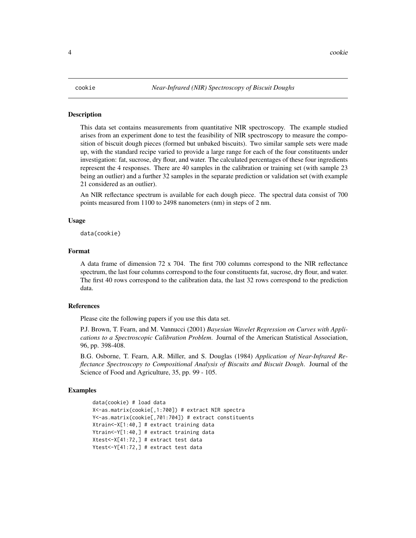#### <span id="page-3-0"></span>**Description**

This data set contains measurements from quantitative NIR spectroscopy. The example studied arises from an experiment done to test the feasibility of NIR spectroscopy to measure the composition of biscuit dough pieces (formed but unbaked biscuits). Two similar sample sets were made up, with the standard recipe varied to provide a large range for each of the four constituents under investigation: fat, sucrose, dry flour, and water. The calculated percentages of these four ingredients represent the 4 responses. There are 40 samples in the calibration or training set (with sample 23 being an outlier) and a further 32 samples in the separate prediction or validation set (with example 21 considered as an outlier).

An NIR reflectance spectrum is available for each dough piece. The spectral data consist of 700 points measured from 1100 to 2498 nanometers (nm) in steps of 2 nm.

#### Usage

data(cookie)

#### Format

A data frame of dimension 72 x 704. The first 700 columns correspond to the NIR reflectance spectrum, the last four columns correspond to the four constituents fat, sucrose, dry flour, and water. The first 40 rows correspond to the calibration data, the last 32 rows correspond to the prediction data.

#### References

Please cite the following papers if you use this data set.

P.J. Brown, T. Fearn, and M. Vannucci (2001) *Bayesian Wavelet Regression on Curves with Applications to a Spectroscopic Calibration Problem*. Journal of the American Statistical Association, 96, pp. 398-408.

B.G. Osborne, T. Fearn, A.R. Miller, and S. Douglas (1984) *Application of Near-Infrared Reflectance Spectroscopy to Compositional Analysis of Biscuits and Biscuit Dough*. Journal of the Science of Food and Agriculture, 35, pp. 99 - 105.

```
data(cookie) # load data
X<-as.matrix(cookie[,1:700]) # extract NIR spectra
Y<-as.matrix(cookie[,701:704]) # extract constituents
Xtrain<-X[1:40,] # extract training data
Ytrain<-Y[1:40,] # extract training data
Xtest<-X[41:72,] # extract test data
Ytest<-Y[41:72,] # extract test data
```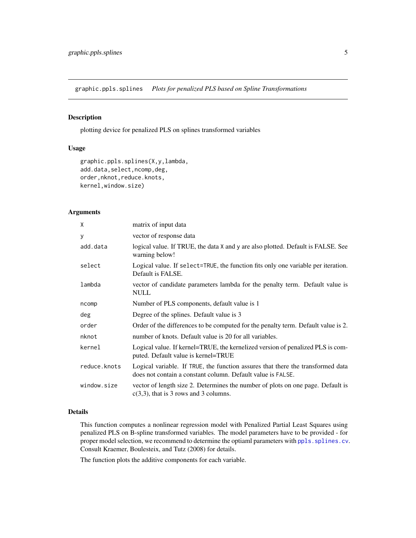<span id="page-4-1"></span><span id="page-4-0"></span>graphic.ppls.splines *Plots for penalized PLS based on Spline Transformations*

# Description

plotting device for penalized PLS on splines transformed variables

# Usage

```
graphic.ppls.splines(X,y,lambda,
add.data,select,ncomp,deg,
order,nknot,reduce.knots,
kernel,window.size)
```
#### Arguments

| X            | matrix of input data                                                                                                                           |
|--------------|------------------------------------------------------------------------------------------------------------------------------------------------|
| У            | vector of response data                                                                                                                        |
| add.data     | logical value. If TRUE, the data X and y are also plotted. Default is FALSE. See<br>warning below!                                             |
| select       | Logical value. If select=TRUE, the function fits only one variable per iteration.<br>Default is FALSE.                                         |
| lambda       | vector of candidate parameters lambda for the penalty term. Default value is<br><b>NULL</b>                                                    |
| ncomp        | Number of PLS components, default value is 1                                                                                                   |
| deg          | Degree of the splines. Default value is 3                                                                                                      |
| order        | Order of the differences to be computed for the penalty term. Default value is 2.                                                              |
| nknot        | number of knots. Default value is 20 for all variables.                                                                                        |
| kernel       | Logical value. If kernel=TRUE, the kernelized version of penalized PLS is com-<br>puted. Default value is kernel=TRUE                          |
| reduce.knots | Logical variable. If TRUE, the function assures that there the transformed data<br>does not contain a constant column. Default value is FALSE. |
| window.size  | vector of length size 2. Determines the number of plots on one page. Default is<br>$c(3,3)$ , that is 3 rows and 3 columns.                    |

# Details

This function computes a nonlinear regression model with Penalized Partial Least Squares using penalized PLS on B-spline transformed variables. The model parameters have to be provided - for proper model selection, we recommend to determine the optiaml parameters with ppls. splines.cv. Consult Kraemer, Boulesteix, and Tutz (2008) for details.

The function plots the additive components for each variable.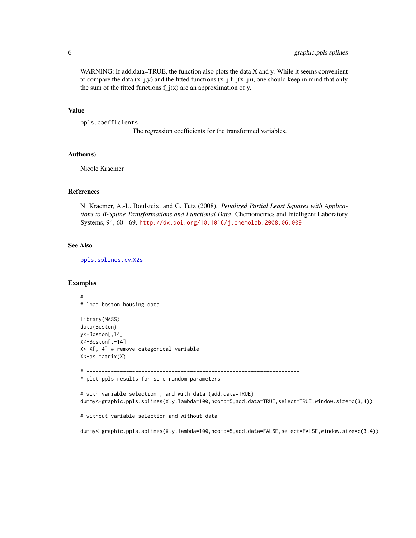<span id="page-5-0"></span>WARNING: If add.data=TRUE, the function also plots the data X and y. While it seems convenient to compare the data  $(x_j, y)$  and the fitted functions  $(x_j, f_j(x_j))$ , one should keep in mind that only the sum of the fitted functions  $f_j(x)$  are an approximation of y.

#### Value

```
ppls.coefficients
```
The regression coefficients for the transformed variables.

# Author(s)

Nicole Kraemer

#### References

N. Kraemer, A.-L. Boulsteix, and G. Tutz (2008). *Penalized Partial Least Squares with Applications to B-Spline Transformations and Functional Data*. Chemometrics and Intelligent Laboratory Systems, 94, 60 - 69. <http://dx.doi.org/10.1016/j.chemolab.2008.06.009>

#### See Also

[ppls.splines.cv](#page-17-1),[X2s](#page-22-1)

### Examples

# ------------------------------------------------------ # load boston housing data

```
library(MASS)
data(Boston)
y<-Boston[,14]
X<-Boston[,-14]
X<-X[,-4] # remove categorical variable
X<-as.matrix(X)
```
# ----------------------------------------------------------------------

```
# plot ppls results for some random parameters
```

```
# with variable selection , and with data (add.data=TRUE)
dummy<-graphic.ppls.splines(X,y,lambda=100,ncomp=5,add.data=TRUE,select=TRUE,window.size=c(3,4))
```
# without variable selection and without data

dummy<-graphic.ppls.splines(X,y,lambda=100,ncomp=5,add.data=FALSE,select=FALSE,window.size=c(3,4))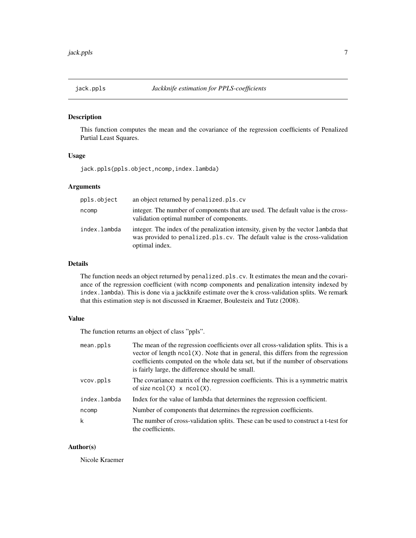# <span id="page-6-1"></span><span id="page-6-0"></span>Description

This function computes the mean and the covariance of the regression coefficients of Penalized Partial Least Squares.

#### Usage

jack.ppls(ppls.object,ncomp,index.lambda)

# Arguments

| ppls.object  | an object returned by penalized.pls.cv                                                                                                                                             |
|--------------|------------------------------------------------------------------------------------------------------------------------------------------------------------------------------------|
| ncomp        | integer. The number of components that are used. The default value is the cross-<br>validation optimal number of components.                                                       |
| index.lambda | integer. The index of the penalization intensity, given by the vector lambda that<br>was provided to penalized pls.cv. The default value is the cross-validation<br>optimal index. |

# Details

The function needs an object returned by penalized.pls.cv. It estimates the mean and the covariance of the regression coefficient (with ncomp components and penalization intensity indexed by index.lambda). This is done via a jackknife estimate over the k cross-validation splits. We remark that this estimation step is not discussed in Kraemer, Boulesteix and Tutz (2008).

# Value

The function returns an object of class "ppls".

| mean.ppls    | The mean of the regression coefficients over all cross-validation splits. This is a<br>vector of length $ncol(X)$ . Note that in general, this differs from the regression<br>coefficients computed on the whole data set, but if the number of observations<br>is fairly large, the difference should be small. |
|--------------|------------------------------------------------------------------------------------------------------------------------------------------------------------------------------------------------------------------------------------------------------------------------------------------------------------------|
| vcov.ppls    | The covariance matrix of the regression coefficients. This is a symmetric matrix<br>of size $ncol(X)$ x $ncol(X)$ .                                                                                                                                                                                              |
| index.lambda | Index for the value of lambda that determines the regression coefficient.                                                                                                                                                                                                                                        |
| ncomp        | Number of components that determines the regression coefficients.                                                                                                                                                                                                                                                |
| k            | The number of cross-validation splits. These can be used to construct a t-test for<br>the coefficients.                                                                                                                                                                                                          |

# Author(s)

Nicole Kraemer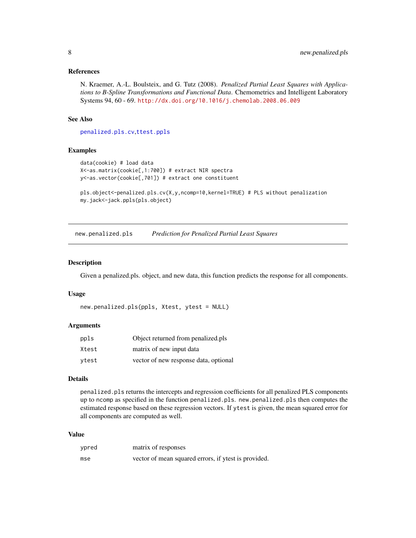#### <span id="page-7-0"></span>References

N. Kraemer, A.-L. Boulsteix, and G. Tutz (2008). *Penalized Partial Least Squares with Applications to B-Spline Transformations and Functional Data*. Chemometrics and Intelligent Laboratory Systems 94, 60 - 69. <http://dx.doi.org/10.1016/j.chemolab.2008.06.009>

# See Also

[penalized.pls.cv](#page-11-1),[ttest.ppls](#page-20-1)

#### Examples

```
data(cookie) # load data
X<-as.matrix(cookie[,1:700]) # extract NIR spectra
y<-as.vector(cookie[,701]) # extract one constituent
```

```
pls.object<-penalized.pls.cv(X,y,ncomp=10,kernel=TRUE) # PLS without penalization
my.jack<-jack.ppls(pls.object)
```
<span id="page-7-1"></span>new.penalized.pls *Prediction for Penalized Partial Least Squares*

# Description

Given a penalized.pls. object, and new data, this function predicts the response for all components.

#### Usage

```
new.penalized.pls(ppls, Xtest, ytest = NULL)
```
#### Arguments

| ppls  | Object returned from penalized.pls    |
|-------|---------------------------------------|
| Xtest | matrix of new input data              |
| vtest | vector of new response data, optional |

# Details

penalized.pls returns the intercepts and regression coefficients for all penalized PLS components up to ncomp as specified in the function penalized.pls. new.penalized.pls then computes the estimated response based on these regression vectors. If ytest is given, the mean squared error for all components are computed as well.

# Value

| ypred | matrix of responses                                  |
|-------|------------------------------------------------------|
| mse   | vector of mean squared errors, if ytest is provided. |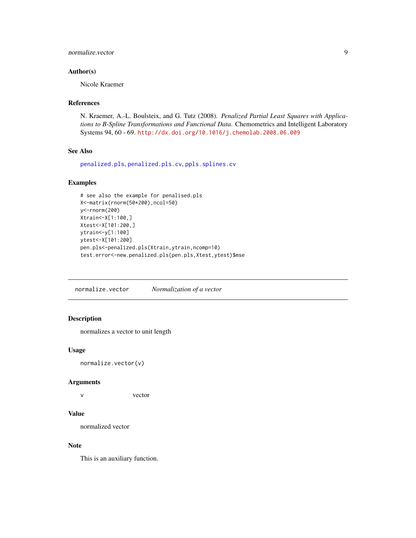# <span id="page-8-0"></span>normalize.vector 9

# Author(s)

Nicole Kraemer

# References

N. Kraemer, A.-L. Boulsteix, and G. Tutz (2008). *Penalized Partial Least Squares with Applications to B-Spline Transformations and Functional Data*. Chemometrics and Intelligent Laboratory Systems 94, 60 - 69. <http://dx.doi.org/10.1016/j.chemolab.2008.06.009>

# See Also

[penalized.pls](#page-9-1), [penalized.pls.cv](#page-11-1), [ppls.splines.cv](#page-17-1)

# Examples

```
# see also the example for penalised.pls
X<-matrix(rnorm(50*200),ncol=50)
y<-rnorm(200)
Xtrain<-X[1:100,]
Xtest<-X[101:200,]
ytrain<-y[1:100]
ytest<-X[101:200]
pen.pls<-penalized.pls(Xtrain,ytrain,ncomp=10)
test.error<-new.penalized.pls(pen.pls,Xtest,ytest)$mse
```
normalize.vector *Normalization of a vector*

# Description

normalizes a vector to unit length

#### Usage

normalize.vector(v)

#### Arguments

v vector

# Value

normalized vector

# Note

This is an auxiliary function.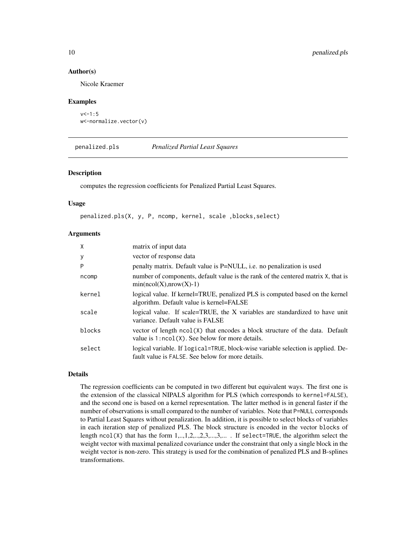#### Author(s)

Nicole Kraemer

#### Examples

```
v < -1:5w<-normalize.vector(v)
```
<span id="page-9-1"></span>penalized.pls *Penalized Partial Least Squares*

#### Description

computes the regression coefficients for Penalized Partial Least Squares.

#### Usage

```
penalized.pls(X, y, P, ncomp, kernel, scale ,blocks,select)
```
# Arguments

| $\mathsf{X}$ | matrix of input data                                                                                                                  |
|--------------|---------------------------------------------------------------------------------------------------------------------------------------|
| У            | vector of response data                                                                                                               |
| P            | penalty matrix. Default value is P=NULL, i.e. no penalization is used                                                                 |
| ncomp        | number of components, default value is the rank of the centered matrix X, that is<br>$min(ncol(X), nrow(X)-1)$                        |
| kernel       | logical value. If kernel=TRUE, penalized PLS is computed based on the kernel<br>algorithm. Default value is kernel=FALSE              |
| scale        | logical value. If scale=TRUE, the X variables are standardized to have unit<br>variance. Default value is FALSE                       |
| blocks       | vector of length ncol(X) that encodes a block structure of the data. Default<br>value is $1:ncol(X)$ . See below for more details.    |
| select       | logical variable. If logical=TRUE, block-wise variable selection is applied. De-<br>fault value is FALSE. See below for more details. |

# Details

The regression coefficients can be computed in two different but equivalent ways. The first one is the extension of the classical NIPALS algorithm for PLS (which corresponds to kernel=FALSE), and the second one is based on a kernel representation. The latter method is in general faster if the number of observations is small compared to the number of variables. Note that P=NULL corresponds to Partial Least Squares without penalization. In addition, it is possible to select blocks of variables in each iteration step of penalized PLS. The block structure is encoded in the vector blocks of length ncol(X) that has the form  $1, ..., 1, 2, ..., 2, 3, ..., 3, ...$ . If select=TRUE, the algorithm select the weight vector with maximal penalized covariance under the constraint that only a single block in the weight vector is non-zero. This strategy is used for the combination of penalized PLS and B-splines transformations.

<span id="page-9-0"></span>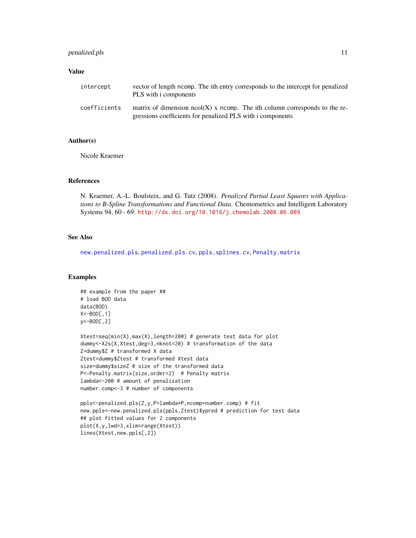# <span id="page-10-0"></span>penalized.pls 11

#### Value

| intercept    | vector of length neomp. The ith entry corresponds to the intercept for penalized<br>PLS with i components                                  |
|--------------|--------------------------------------------------------------------------------------------------------------------------------------------|
| coefficients | matrix of dimension $ncol(X)$ x ncomp. The ith column corresponds to the re-<br>gressions coefficients for penalized PLS with a components |

### Author(s)

Nicole Kraemer

#### References

N. Kraemer, A.-L. Boulsteix, and G. Tutz (2008). *Penalized Partial Least Squares with Applications to B-Spline Transformations and Functional Data*. Chemometrics and Intelligent Laboratory Systems 94, 60 - 69. <http://dx.doi.org/10.1016/j.chemolab.2008.06.009>

# See Also

[new.penalized.pls](#page-7-1), [penalized.pls.cv](#page-11-1), [ppls.splines.cv](#page-17-1), [Penalty.matrix](#page-16-1)

```
## example from the paper ##
# load BOD data
data(BOD)
X<-BOD[,1]
y<-BOD[,2]
Xtest=seq(min(X),max(X),length=200) # generate test data for plot
dummy<-X2s(X,Xtest,deg=3,nknot=20) # transformation of the data
Z=dummy$Z # transformed X data
Ztest=dummy$Ztest # transformed Xtest data
size=dummy$sizeZ # size of the transformed data
P<-Penalty.matrix(size,order=2) # Penalty matrix
lambda<-200 # amount of penalization
number.comp<-3 # number of components
ppls<-penalized.pls(Z,y,P=lambda*P,ncomp=number.comp) # fit
```

```
new.ppls<-new.penalized.pls(ppls,Ztest)$ypred # prediction for test data
## plot fitted values for 2 components
plot(X,y,lwd=3,xlim=range(Xtest))
lines(Xtest,new.ppls[,2])
```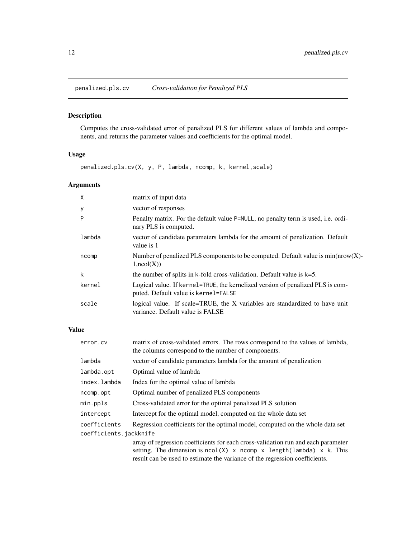<span id="page-11-1"></span><span id="page-11-0"></span>penalized.pls.cv *Cross-validation for Penalized PLS*

# Description

Computes the cross-validated error of penalized PLS for different values of lambda and components, and returns the parameter values and coefficients for the optimal model.

# Usage

penalized.pls.cv(X, y, P, lambda, ncomp, k, kernel,scale)

# Arguments

| X      | matrix of input data                                                                                                   |
|--------|------------------------------------------------------------------------------------------------------------------------|
| у      | vector of responses                                                                                                    |
| P      | Penalty matrix. For the default value P=NULL, no penalty term is used, i.e. ordi-<br>nary PLS is computed.             |
| lambda | vector of candidate parameters lambda for the amount of penalization. Default<br>value is 1                            |
| ncomp  | Number of penalized PLS components to be computed. Default value is $min(nrow(X)$<br>$1,\text{ncol}(X))$               |
| k      | the number of splits in k-fold cross-validation. Default value is $k=5$ .                                              |
| kernel | Logical value. If kernel=TRUE, the kernelized version of penalized PLS is com-<br>puted. Default value is kernel=FALSE |
| scale  | logical value. If scale=TRUE, the X variables are standardized to have unit<br>variance. Default value is FALSE        |

# Value

| error.cv               | matrix of cross-validated errors. The rows correspond to the values of lambda,<br>the columns correspond to the number of components.                                                                                                          |
|------------------------|------------------------------------------------------------------------------------------------------------------------------------------------------------------------------------------------------------------------------------------------|
| lambda                 | vector of candidate parameters lambda for the amount of penalization                                                                                                                                                                           |
| lambda.opt             | Optimal value of lambda                                                                                                                                                                                                                        |
| index.lambda           | Index for the optimal value of lambda                                                                                                                                                                                                          |
| ncomp.opt              | Optimal number of penalized PLS components                                                                                                                                                                                                     |
| min.ppls               | Cross-validated error for the optimal penalized PLS solution                                                                                                                                                                                   |
| intercept              | Intercept for the optimal model, computed on the whole data set                                                                                                                                                                                |
| coefficients           | Regression coefficients for the optimal model, computed on the whole data set                                                                                                                                                                  |
| coefficients.jackknife |                                                                                                                                                                                                                                                |
|                        | array of regression coefficients for each cross-validation run and each parameter<br>setting. The dimension is $ncol(X)$ x $ncomp$ x $length(lambda)$ x k. This<br>result can be used to estimate the variance of the regression coefficients. |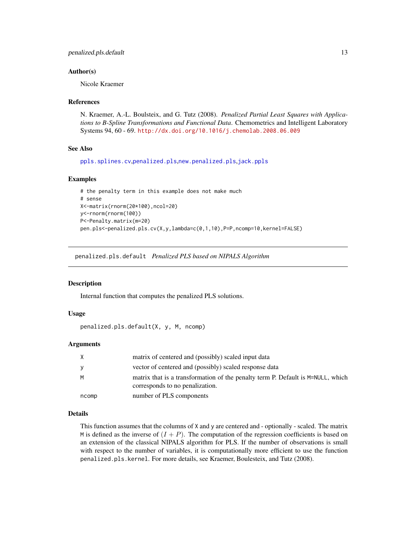#### <span id="page-12-0"></span>Author(s)

Nicole Kraemer

#### References

N. Kraemer, A.-L. Boulsteix, and G. Tutz (2008). *Penalized Partial Least Squares with Applications to B-Spline Transformations and Functional Data*. Chemometrics and Intelligent Laboratory Systems 94, 60 - 69. <http://dx.doi.org/10.1016/j.chemolab.2008.06.009>

# See Also

[ppls.splines.cv](#page-17-1),[penalized.pls](#page-9-1),[new.penalized.pls](#page-7-1),[jack.ppls](#page-6-1)

#### Examples

```
# the penalty term in this example does not make much
# sense
X<-matrix(rnorm(20*100),ncol=20)
y<-rnorm(rnorm(100))
P<-Penalty.matrix(m=20)
pen.pls<-penalized.pls.cv(X,y,lambda=c(0,1,10),P=P,ncomp=10,kernel=FALSE)
```
<span id="page-12-1"></span>penalized.pls.default *Penalized PLS based on NIPALS Algorithm*

#### **Description**

Internal function that computes the penalized PLS solutions.

#### Usage

penalized.pls.default(X, y, M, ncomp)

#### Arguments

|       | matrix of centered and (possibly) scaled input data                                                                |
|-------|--------------------------------------------------------------------------------------------------------------------|
|       | vector of centered and (possibly) scaled response data                                                             |
| м     | matrix that is a transformation of the penalty term P. Default is M=NULL, which<br>corresponds to no penalization. |
| ncomp | number of PLS components                                                                                           |

#### Details

This function assumes that the columns of X and y are centered and - optionally - scaled. The matrix M is defined as the inverse of  $(I + P)$ . The computation of the regression coefficients is based on an extension of the classical NIPALS algorithm for PLS. If the number of observations is small with respect to the number of variables, it is computationally more efficient to use the function penalized.pls.kernel. For more details, see Kraemer, Boulesteix, and Tutz (2008).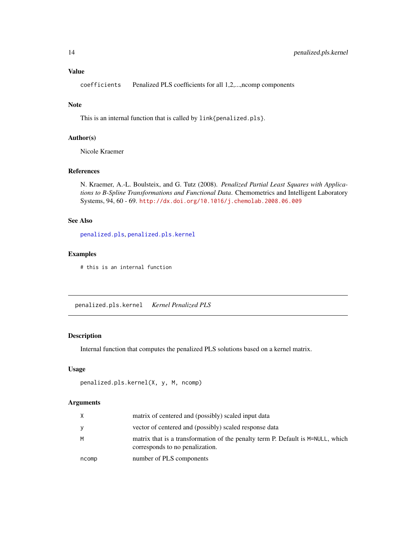#### <span id="page-13-0"></span>Value

coefficients Penalized PLS coefficients for all 1,2,...,ncomp components

# Note

This is an internal function that is called by link{penalized.pls}.

# Author(s)

Nicole Kraemer

# References

N. Kraemer, A.-L. Boulsteix, and G. Tutz (2008). *Penalized Partial Least Squares with Applications to B-Spline Transformations and Functional Data*. Chemometrics and Intelligent Laboratory Systems, 94, 60 - 69. <http://dx.doi.org/10.1016/j.chemolab.2008.06.009>

# See Also

[penalized.pls](#page-9-1), [penalized.pls.kernel](#page-13-1)

# Examples

# this is an internal function

<span id="page-13-1"></span>penalized.pls.kernel *Kernel Penalized PLS*

## Description

Internal function that computes the penalized PLS solutions based on a kernel matrix.

# Usage

```
penalized.pls.kernel(X, y, M, ncomp)
```
# Arguments

|       | matrix of centered and (possibly) scaled input data                                                                |
|-------|--------------------------------------------------------------------------------------------------------------------|
|       | vector of centered and (possibly) scaled response data                                                             |
| м     | matrix that is a transformation of the penalty term P. Default is M=NULL, which<br>corresponds to no penalization. |
| ncomp | number of PLS components                                                                                           |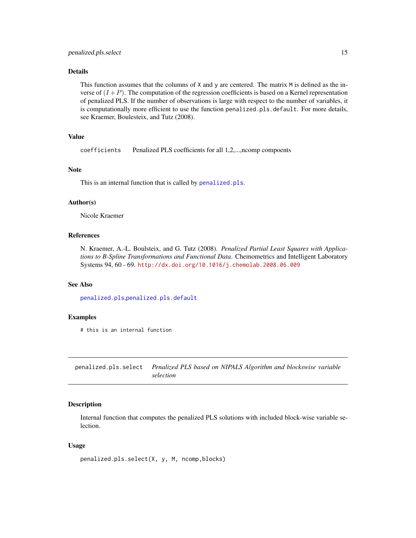# <span id="page-14-0"></span>Details

This function assumes that the columns of X and y are centered. The matrix M is defined as the inverse of  $(I + P)$ . The computation of the regression coefficients is based on a Kernel representation of penalized PLS. If the number of observations is large with respect to the number of variables, it is computationally more efficient to use the function penalized.pls.default. For more details, see Kraemer, Boulesteix, and Tutz (2008).

# Value

coefficients Penalized PLS coefficients for all 1,2,...,ncomp compoents

# Note

This is an internal function that is called by [penalized.pls](#page-9-1).

#### Author(s)

Nicole Kraemer

# References

N. Kraemer, A.-L. Boulsteix, and G. Tutz (2008). *Penalized Partial Least Squares with Applications to B-Spline Transformations and Functional Data*. Chemometrics and Intelligent Laboratory Systems 94, 60 - 69. <http://dx.doi.org/10.1016/j.chemolab.2008.06.009>

## See Also

[penalized.pls](#page-9-1),[penalized.pls.default](#page-12-1)

### Examples

# this is an internal function

penalized.pls.select *Penalized PLS based on NIPALS Algorithm and blockswise variable selection*

# Description

Internal function that computes the penalized PLS solutions with included block-wise variable selection.

#### Usage

```
penalized.pls.select(X, y, M, ncomp,blocks)
```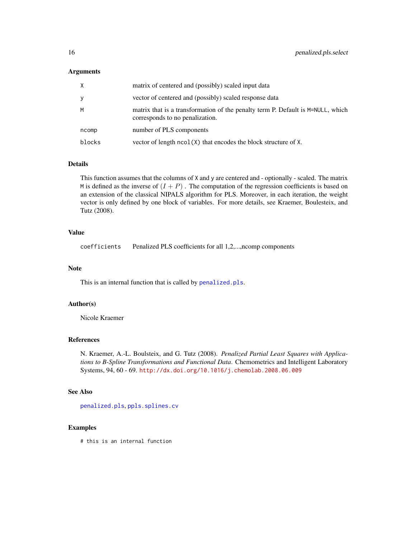#### <span id="page-15-0"></span>Arguments

| X      | matrix of centered and (possibly) scaled input data                                                                |
|--------|--------------------------------------------------------------------------------------------------------------------|
| y      | vector of centered and (possibly) scaled response data                                                             |
| M      | matrix that is a transformation of the penalty term P. Default is M=NULL, which<br>corresponds to no penalization. |
| ncomp  | number of PLS components                                                                                           |
| blocks | vector of length $ncol(X)$ that encodes the block structure of $X$ .                                               |

# Details

This function assumes that the columns of X and y are centered and - optionally - scaled. The matrix M is defined as the inverse of  $(I + P)$ . The computation of the regression coefficients is based on an extension of the classical NIPALS algorithm for PLS. Moreover, in each iteration, the weight vector is only defined by one block of variables. For more details, see Kraemer, Boulesteix, and Tutz (2008).

# Value

coefficients Penalized PLS coefficients for all 1,2,...,ncomp components

# Note

This is an internal function that is called by [penalized.pls](#page-9-1).

# Author(s)

Nicole Kraemer

# References

N. Kraemer, A.-L. Boulsteix, and G. Tutz (2008). *Penalized Partial Least Squares with Applications to B-Spline Transformations and Functional Data*. Chemometrics and Intelligent Laboratory Systems, 94, 60 - 69. <http://dx.doi.org/10.1016/j.chemolab.2008.06.009>

# See Also

[penalized.pls](#page-9-1), [ppls.splines.cv](#page-17-1)

# Examples

# this is an internal function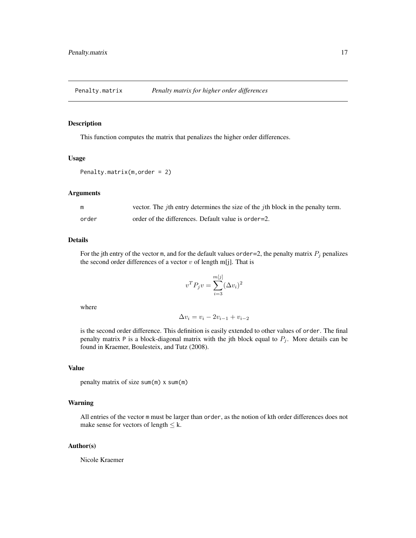<span id="page-16-1"></span><span id="page-16-0"></span>

# **Description**

This function computes the matrix that penalizes the higher order differences.

#### Usage

```
Penalty.matrix(m,order = 2)
```
#### Arguments

| m     | vector. The <i>j</i> th entry determines the size of the <i>j</i> th block in the penalty term. |
|-------|-------------------------------------------------------------------------------------------------|
| order | order of the differences. Default value is order=2.                                             |

#### Details

For the jth entry of the vector m, and for the default values order=2, the penalty matrix  $P_j$  penalizes the second order differences of a vector  $v$  of length m[j]. That is

$$
v^T P_j v = \sum_{i=3}^{m[j]} (\Delta v_i)^2
$$

where

$$
\Delta v_i = v_i - 2v_{i-1} + v_{i-2}
$$

is the second order difference. This definition is easily extended to other values of order. The final penalty matrix P is a block-diagonal matrix with the jth block equal to  $P_j$ . More details can be found in Kraemer, Boulesteix, and Tutz (2008).

# Value

penalty matrix of size sum(m) x sum(m)

# Warning

All entries of the vector m must be larger than order, as the notion of kth order differences does not make sense for vectors of length  $\leq$  k.

#### Author(s)

Nicole Kraemer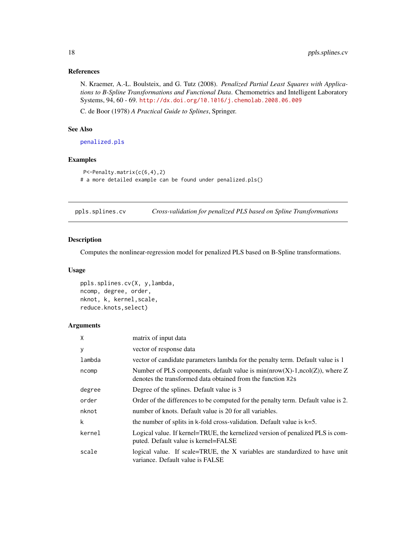# <span id="page-17-0"></span>References

N. Kraemer, A.-L. Boulsteix, and G. Tutz (2008). *Penalized Partial Least Squares with Applications to B-Spline Transformations and Functional Data*. Chemometrics and Intelligent Laboratory Systems, 94, 60 - 69. <http://dx.doi.org/10.1016/j.chemolab.2008.06.009>

C. de Boor (1978) *A Practical Guide to Splines*, Springer.

# See Also

[penalized.pls](#page-9-1)

# Examples

```
P<-Penalty.matrix(c(6,4),2)
# a more detailed example can be found under penalized.pls()
```
<span id="page-17-1"></span>ppls.splines.cv *Cross-validation for penalized PLS based on Spline Transformations*

# Description

Computes the nonlinear-regression model for penalized PLS based on B-Spline transformations.

#### Usage

```
ppls.splines.cv(X, y,lambda,
ncomp, degree, order,
nknot, k, kernel,scale,
reduce.knots,select)
```
# Arguments

| X      | matrix of input data                                                                                                                         |
|--------|----------------------------------------------------------------------------------------------------------------------------------------------|
| у      | vector of response data                                                                                                                      |
| lambda | vector of candidate parameters lambda for the penalty term. Default value is 1                                                               |
| ncomp  | Number of PLS components, default value is $min(nrow(X)-1,ncol(Z))$ , where Z<br>denotes the transformed data obtained from the function X2s |
| degree | Degree of the splines. Default value is 3                                                                                                    |
| order  | Order of the differences to be computed for the penalty term. Default value is 2.                                                            |
| nknot  | number of knots. Default value is 20 for all variables.                                                                                      |
| k      | the number of splits in k-fold cross-validation. Default value is $k=5$ .                                                                    |
| kernel | Logical value. If kernel=TRUE, the kernelized version of penalized PLS is com-<br>puted. Default value is kernel=FALSE                       |
| scale  | logical value. If scale=TRUE, the X variables are standardized to have unit<br>variance. Default value is FALSE                              |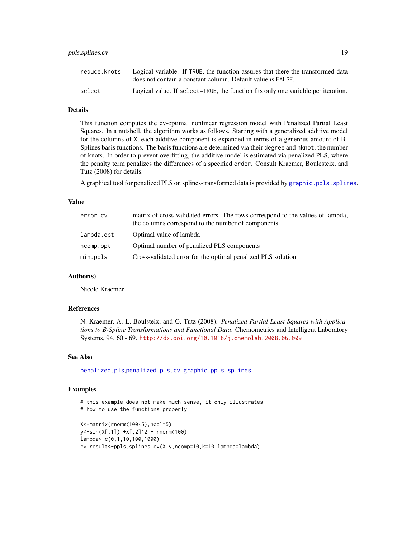# <span id="page-18-0"></span>ppls.splines.cv 19

#### Details

This function computes the cv-optimal nonlinear regression model with Penalized Partial Least Squares. In a nutshell, the algorithm works as follows. Starting with a generalized additive model for the columns of X, each additive component is expanded in terms of a generous amount of B-Splines basis functions. The basis functions are determined via their degree and nknot, the number of knots. In order to prevent overfitting, the additive model is estimated via penalized PLS, where the penalty term penalizes the differences of a specified order. Consult Kraemer, Boulesteix, and Tutz (2008) for details.

A graphical tool for penalized PLS on splines-transformed data is provided by [graphic.ppls.splines](#page-4-1).

#### Value

| error.cv   | matrix of cross-validated errors. The rows correspond to the values of lambda,<br>the columns correspond to the number of components. |
|------------|---------------------------------------------------------------------------------------------------------------------------------------|
| lambda.opt | Optimal value of lambda                                                                                                               |
| ncomp.opt  | Optimal number of penalized PLS components                                                                                            |
| min.ppls   | Cross-validated error for the optimal penalized PLS solution                                                                          |

# Author(s)

Nicole Kraemer

#### References

N. Kraemer, A.-L. Boulsteix, and G. Tutz (2008). *Penalized Partial Least Squares with Applications to B-Spline Transformations and Functional Data*. Chemometrics and Intelligent Laboratory Systems, 94, 60 - 69. <http://dx.doi.org/10.1016/j.chemolab.2008.06.009>

#### See Also

[penalized.pls](#page-9-1),[penalized.pls.cv](#page-11-1), [graphic.ppls.splines](#page-4-1)

```
# this example does not make much sense, it only illustrates
# how to use the functions properly
X<-matrix(rnorm(100*5),ncol=5)
y<-sin(X[,1]) +X[,2]^2 + rnorm(100)
lambda<-c(0,1,10,100,1000)
```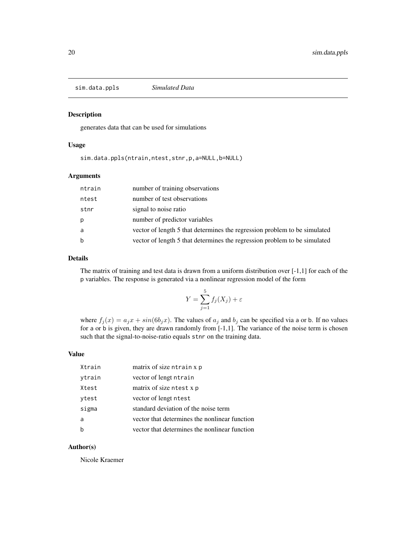<span id="page-19-0"></span>sim.data.ppls *Simulated Data*

#### Description

generates data that can be used for simulations

# Usage

sim.data.ppls(ntrain,ntest,stnr,p,a=NULL,b=NULL)

# Arguments

| ntrain | number of training observations                                           |
|--------|---------------------------------------------------------------------------|
| ntest  | number of test observations                                               |
| stnr   | signal to noise ratio                                                     |
| p      | number of predictor variables                                             |
| a      | vector of length 5 that determines the regression problem to be simulated |
| b      | vector of length 5 that determines the regression problem to be simulated |

# Details

The matrix of training and test data is drawn from a uniform distribution over  $[-1,1]$  for each of the p variables. The response is generated via a nonlinear regression model of the form

$$
Y = \sum_{j=1}^{5} f_j(X_j) + \varepsilon
$$

where  $f_j(x) = a_j x + \sin(6b_j x)$ . The values of  $a_j$  and  $b_j$  can be specified via a or b. If no values for a or b is given, they are drawn randomly from [-1,1]. The variance of the noise term is chosen such that the signal-to-noise-ratio equals stnr on the training data.

#### Value

| Xtrain      | matrix of size ntrain x p                     |
|-------------|-----------------------------------------------|
| ytrain      | vector of lengt ntrain                        |
| Xtest       | matrix of size ntest x p                      |
| ytest       | vector of lengt ntest                         |
| sigma       | standard deviation of the noise term          |
| a           | vector that determines the nonlinear function |
| $\mathsf b$ | vector that determines the nonlinear function |

# Author(s)

Nicole Kraemer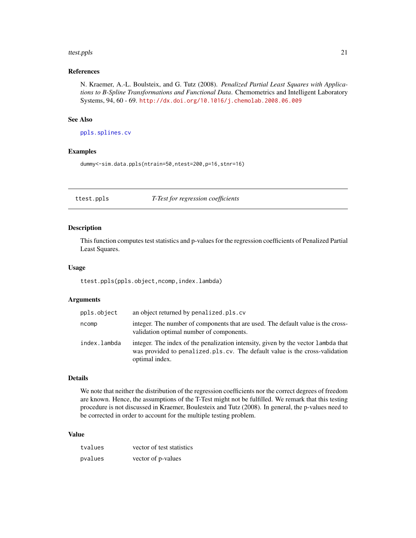#### <span id="page-20-0"></span>ttest.ppls 21

# References

N. Kraemer, A.-L. Boulsteix, and G. Tutz (2008). *Penalized Partial Least Squares with Applications to B-Spline Transformations and Functional Data*. Chemometrics and Intelligent Laboratory Systems, 94, 60 - 69. <http://dx.doi.org/10.1016/j.chemolab.2008.06.009>

# See Also

[ppls.splines.cv](#page-17-1)

#### Examples

dummy<-sim.data.ppls(ntrain=50,ntest=200,p=16,stnr=16)

#### <span id="page-20-1"></span>ttest.ppls *T-Test for regression coefficients*

#### Description

This function computes test statistics and p-values for the regression coefficients of Penalized Partial Least Squares.

#### Usage

ttest.ppls(ppls.object,ncomp,index.lambda)

#### Arguments

| ppls.object  | an object returned by penalized.pls.cv                                                                                                                                              |
|--------------|-------------------------------------------------------------------------------------------------------------------------------------------------------------------------------------|
| ncomp        | integer. The number of components that are used. The default value is the cross-<br>validation optimal number of components.                                                        |
| index.lambda | integer. The index of the penalization intensity, given by the vector lambda that<br>was provided to penalized. pls.cv. The default value is the cross-validation<br>optimal index. |

# Details

We note that neither the distribution of the regression coefficients nor the correct degrees of freedom are known. Hence, the assumptions of the T-Test might not be fulfilled. We remark that this testing procedure is not discussed in Kraemer, Boulesteix and Tutz (2008). In general, the p-values need to be corrected in order to account for the multiple testing problem.

# Value

| tvalues | vector of test statistics |
|---------|---------------------------|
| pvalues | vector of p-values        |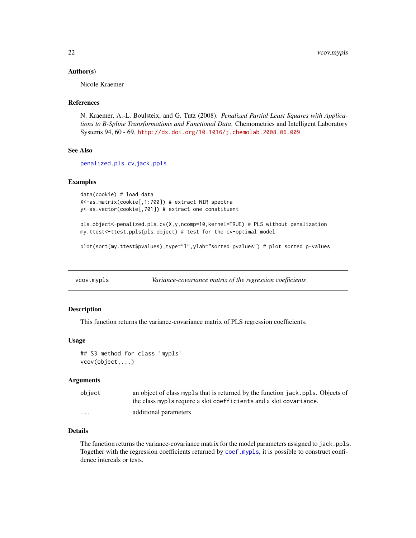#### <span id="page-21-0"></span>Author(s)

Nicole Kraemer

#### References

N. Kraemer, A.-L. Boulsteix, and G. Tutz (2008). *Penalized Partial Least Squares with Applications to B-Spline Transformations and Functional Data*. Chemometrics and Intelligent Laboratory Systems 94, 60 - 69. <http://dx.doi.org/10.1016/j.chemolab.2008.06.009>

#### See Also

[penalized.pls.cv](#page-11-1),[jack.ppls](#page-6-1)

#### Examples

```
data(cookie) # load data
X<-as.matrix(cookie[,1:700]) # extract NIR spectra
y<-as.vector(cookie[,701]) # extract one constituent
```
pls.object<-penalized.pls.cv(X,y,ncomp=10,kernel=TRUE) # PLS without penalization my.ttest<-ttest.ppls(pls.object) # test for the cv-optimal model

plot(sort(my.ttest\$pvalues),type="l",ylab="sorted pvalues") # plot sorted p-values

<span id="page-21-1"></span>vcov.mypls *Variance-covariance matrix of the regression coefficients*

#### Description

This function returns the variance-covariance matrix of PLS regression coefficients.

#### Usage

```
## S3 method for class 'mypls'
vcov(object,...)
```
#### Arguments

| object   | an object of class mypls that is returned by the function jack. ppls. Objects of |
|----------|----------------------------------------------------------------------------------|
|          | the class mypls require a slot coefficients and a slot covariance.               |
| $\cdots$ | additional parameters                                                            |

# Details

The function returns the variance-covariance matrix for the model parameters assigned to jack.ppls. Together with the regression coefficients returned by [coef.mypls](#page-2-1), it is possible to construct confidence intercals or tests.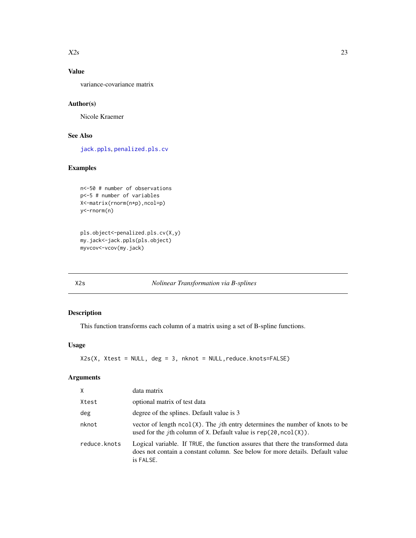#### <span id="page-22-0"></span> $X2s$  23

# Value

variance-covariance matrix

# Author(s)

Nicole Kraemer

# See Also

[jack.ppls](#page-6-1), [penalized.pls.cv](#page-11-1)

# Examples

```
n<-50 # number of observations
p<-5 # number of variables
X<-matrix(rnorm(n*p),ncol=p)
y<-rnorm(n)
```

```
pls.object<-penalized.pls.cv(X,y)
my.jack<-jack.ppls(pls.object)
myvcov<-vcov(my.jack)
```
#### <span id="page-22-1"></span>X2s *Nolinear Transformation via B-splines*

# Description

This function transforms each column of a matrix using a set of B-spline functions.

# Usage

```
X2s(X, Xtest = NULL, deg = 3, nknot = NULL,reduce.knots=FALSE)
```
# Arguments

| X            | data matrix                                                                                                                                                                   |
|--------------|-------------------------------------------------------------------------------------------------------------------------------------------------------------------------------|
| Xtest        | optional matrix of test data                                                                                                                                                  |
| deg          | degree of the splines. Default value is 3                                                                                                                                     |
| nknot        | vector of length $ncol(X)$ . The <i>j</i> th entry determines the number of knots to be<br>used for the <i>j</i> th column of X. Default value is $rep(20, ncol(X))$ .        |
| reduce.knots | Logical variable. If TRUE, the function assures that there the transformed data<br>does not contain a constant column. See below for more details. Default value<br>is FALSE. |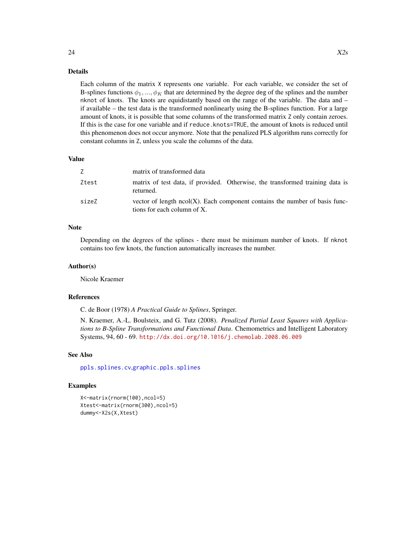#### Details

Each column of the matrix X represents one variable. For each variable, we consider the set of B-splines functions  $\phi_1, ..., \phi_K$  that are determined by the degree deg of the splines and the number nknot of knots. The knots are equidistantly based on the range of the variable. The data and – if available – the test data is the transformed nonlinearly using the B-splines function. For a large amount of knots, it is possible that some columns of the transformed matrix Z only contain zeroes. If this is the case for one variable and if reduce.knots=TRUE, the amount of knots is reduced until this phenomenon does not occur anymore. Note that the penalized PLS algorithm runs correctly for constant columns in Z, unless you scale the columns of the data.

#### Value

| Z     | matrix of transformed data                                                                                    |
|-------|---------------------------------------------------------------------------------------------------------------|
| Ztest | matrix of test data, if provided. Otherwise, the transformed training data is<br>returned.                    |
| sizeZ | vector of length $ncol(X)$ . Each component contains the number of basis func-<br>tions for each column of X. |

#### Note

Depending on the degrees of the splines - there must be minimum number of knots. If nknot contains too few knots, the function automatically increases the number.

#### Author(s)

Nicole Kraemer

#### References

C. de Boor (1978) *A Practical Guide to Splines*, Springer.

N. Kraemer, A.-L. Boulsteix, and G. Tutz (2008). *Penalized Partial Least Squares with Applications to B-Spline Transformations and Functional Data*. Chemometrics and Intelligent Laboratory Systems, 94, 60 - 69. <http://dx.doi.org/10.1016/j.chemolab.2008.06.009>

#### See Also

[ppls.splines.cv](#page-17-1),[graphic.ppls.splines](#page-4-1)

```
X<-matrix(rnorm(100),ncol=5)
Xtest<-matrix(rnorm(300),ncol=5)
dummy<-X2s(X,Xtest)
```
<span id="page-23-0"></span>